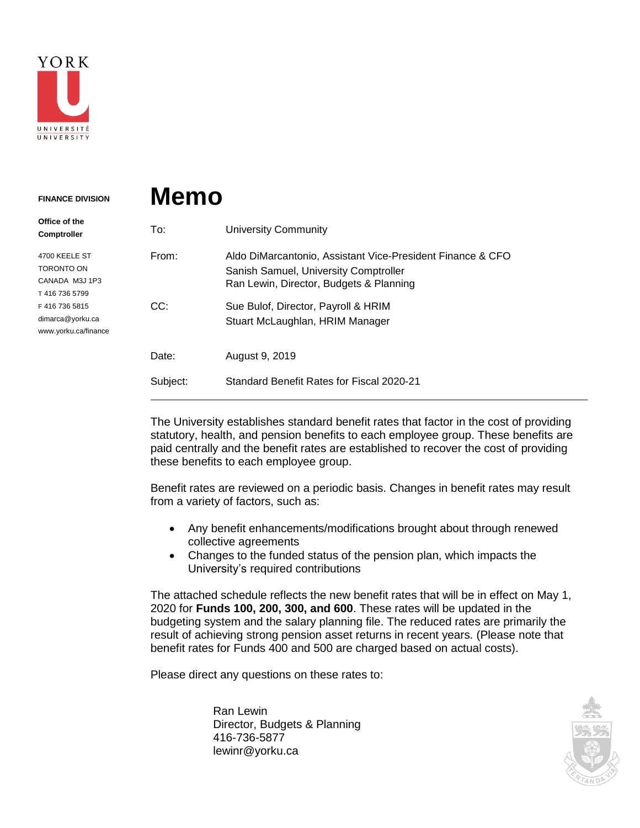

## **Memo FINANCE DIVISION**

| Office of the<br><b>Comptroller</b>                                                                                     | To:      | <b>University Community</b>                                                                                                                    |
|-------------------------------------------------------------------------------------------------------------------------|----------|------------------------------------------------------------------------------------------------------------------------------------------------|
| 4700 KEELE ST<br>TORONTO ON<br>CANADA M3J 1P3<br>T4167365799<br>F4167365815<br>dimarca@yorku.ca<br>www.yorku.ca/finance | From:    | Aldo DiMarcantonio, Assistant Vice-President Finance & CFO<br>Sanish Samuel, University Comptroller<br>Ran Lewin, Director, Budgets & Planning |
|                                                                                                                         | CC:      | Sue Bulof, Director, Payroll & HRIM<br>Stuart McLaughlan, HRIM Manager                                                                         |
|                                                                                                                         | Date:    | August 9, 2019                                                                                                                                 |
|                                                                                                                         | Subject: | Standard Benefit Rates for Fiscal 2020-21                                                                                                      |

The University establishes standard benefit rates that factor in the cost of providing statutory, health, and pension benefits to each employee group. These benefits are paid centrally and the benefit rates are established to recover the cost of providing these benefits to each employee group.

Benefit rates are reviewed on a periodic basis. Changes in benefit rates may result from a variety of factors, such as:

- Any benefit enhancements/modifications brought about through renewed collective agreements
- Changes to the funded status of the pension plan, which impacts the University's required contributions

The attached schedule reflects the new benefit rates that will be in effect on May 1, 2020 for **Funds 100, 200, 300, and 600**. These rates will be updated in the budgeting system and the salary planning file. The reduced rates are primarily the result of achieving strong pension asset returns in recent years. (Please note that benefit rates for Funds 400 and 500 are charged based on actual costs).

Please direct any questions on these rates to:

Ran Lewin Director, Budgets & Planning 416-736-5877 lewinr@yorku.ca